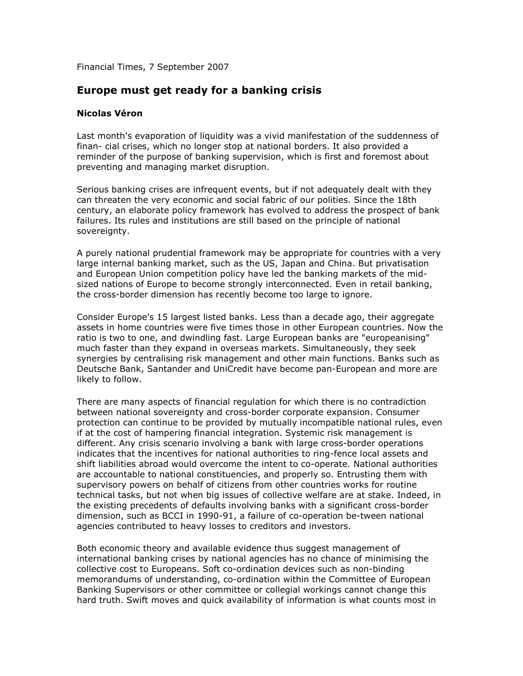Financial Times, 7 September 2007

## Europe must get ready for a banking crisis

## Nicolas Véron

Last month's evaporation of liquidity was a vivid manifestation of the suddenness of finan- cial crises, which no longer stop at national borders. It also provided a reminder of the purpose of banking supervision, which is first and foremost about preventing and managing market disruption.

Serious banking crises are infrequent events, but if not adequately dealt with they can threaten the very economic and social fabric of our polities. Since the 18th century, an elaborate policy framework has evolved to address the prospect of bank failures. Its rules and institutions are still based on the principle of national sovereignty.

A purely national prudential framework may be appropriate for countries with a very large internal banking market, such as the US, Japan and China. But privatisation and European Union competition policy have led the banking markets of the midsized nations of Europe to become strongly interconnected. Even in retail banking, the cross-border dimension has recently become too large to ignore.

Consider Europe's 15 largest listed banks. Less than a decade ago, their aggregate assets in home countries were five times those in other European countries. Now the ratio is two to one, and dwindling fast. Large European banks are "europeanising" much faster than they expand in overseas markets. Simultaneously, they seek synergies by centralising risk management and other main functions. Banks such as Deutsche Bank, Santander and UniCredit have become pan-European and more are likely to follow.

There are many aspects of financial regulation for which there is no contradiction between national sovereignty and cross-border corporate expansion. Consumer protection can continue to be provided by mutually incompatible national rules, even if at the cost of hampering financial integration. Systemic risk management is different. Any crisis scenario involving a bank with large cross-border operations indicates that the incentives for national authorities to ring-fence local assets and shift liabilities abroad would overcome the intent to co-operate. National authorities are accountable to national constituencies, and properly so. Entrusting them with supervisory powers on behalf of citizens from other countries works for routine technical tasks, but not when big issues of collective welfare are at stake. Indeed, in the existing precedents of defaults involving banks with a significant cross-border dimension, such as BCCI in 1990-91, a failure of co-operation be-tween national agencies contributed to heavy losses to creditors and investors.

Both economic theory and available evidence thus suggest management of international banking crises by national agencies has no chance of minimising the collective cost to Europeans. Soft co-ordination devices such as non-binding memorandums of understanding, co-ordination within the Committee of European Banking Supervisors or other committee or collegial workings cannot change this hard truth. Swift moves and quick availability of information is what counts most in